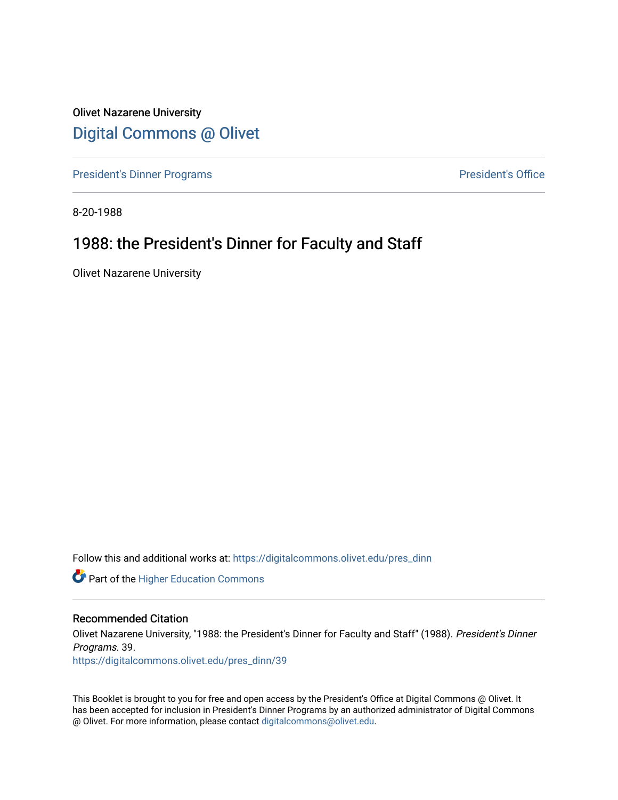Olivet Nazarene University [Digital Commons @ Olivet](https://digitalcommons.olivet.edu/)

[President's Dinner Programs](https://digitalcommons.olivet.edu/pres_dinn) **President's Office** 

8-20-1988

### 1988: the President's Dinner for Faculty and Staff

Olivet Nazarene University

Follow this and additional works at: [https://digitalcommons.olivet.edu/pres\\_dinn](https://digitalcommons.olivet.edu/pres_dinn?utm_source=digitalcommons.olivet.edu%2Fpres_dinn%2F39&utm_medium=PDF&utm_campaign=PDFCoverPages)

**Part of the Higher Education Commons** 

#### Recommended Citation

Olivet Nazarene University, "1988: the President's Dinner for Faculty and Staff" (1988). President's Dinner Programs. 39.

[https://digitalcommons.olivet.edu/pres\\_dinn/39](https://digitalcommons.olivet.edu/pres_dinn/39?utm_source=digitalcommons.olivet.edu%2Fpres_dinn%2F39&utm_medium=PDF&utm_campaign=PDFCoverPages) 

This Booklet is brought to you for free and open access by the President's Office at Digital Commons @ Olivet. It has been accepted for inclusion in President's Dinner Programs by an authorized administrator of Digital Commons @ Olivet. For more information, please contact [digitalcommons@olivet.edu.](mailto:digitalcommons@olivet.edu)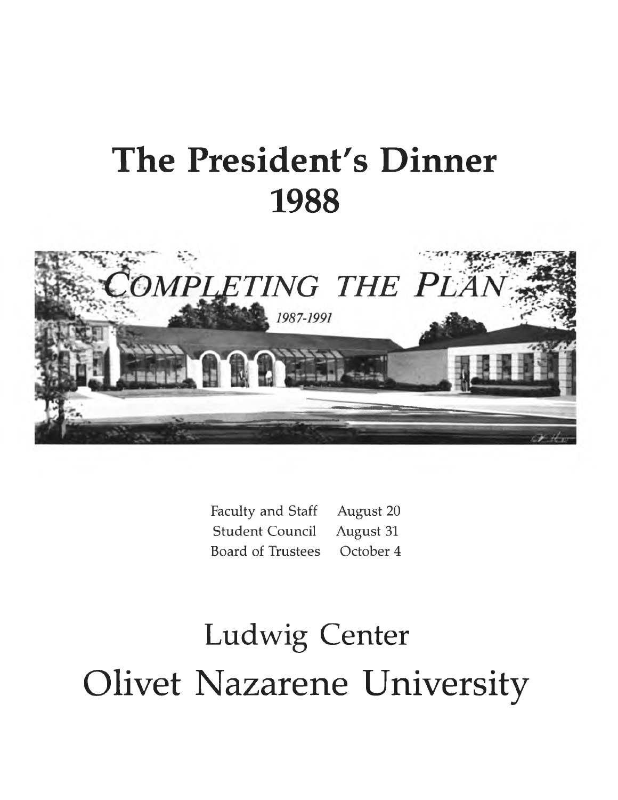# **The President's Dinner 1988**



Faculty and Staff August 20 Student Council August 31 Board of Trustees October 4

# Ludwig Center Olivet Nazarene University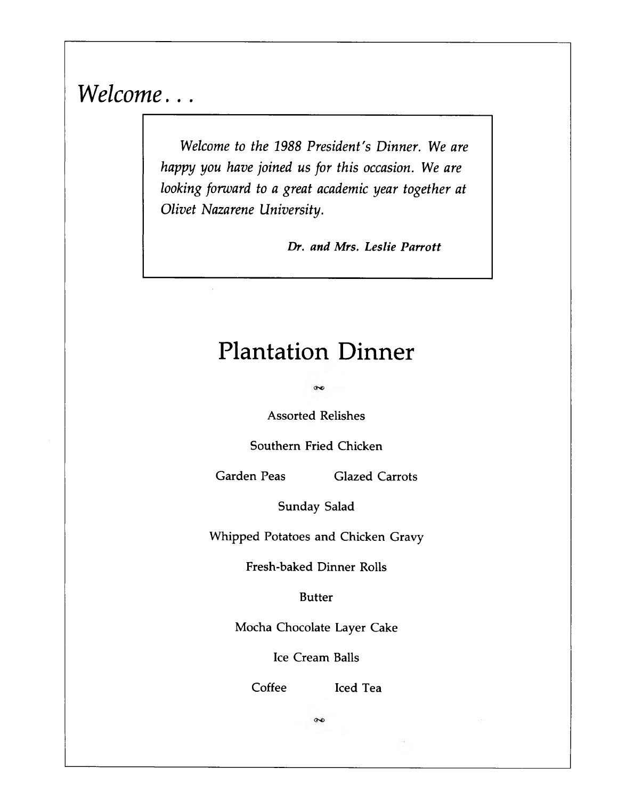*Welcome...*

*Welcome to the 1988 President's Dinner. We are happy you have joined us for this occasion. We are looking forward to a great academic year together at Olivet Nazarene University.*

*Dr. and Mrs. Leslie Parrott*

# **Plantation Dinner**

 $\infty$ 

**Assorted Relishes**

**Southern Fried Chicken**

**Garden Peas Glazed Carrots**

**Sunday Salad**

**Whipped Potatoes and Chicken Gravy**

**Fresh-baked Dinner Rolls**

**Butter**

**Mocha Chocolate Layer Cake**

**Ice Cream Balls**

**Coffee Iced Tea**

 $\bar{e}$ 

 $\infty$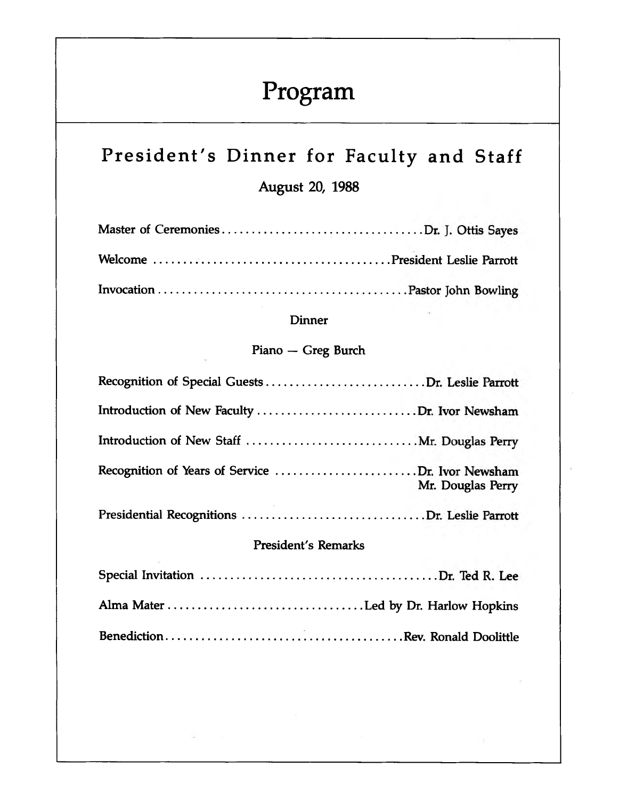# **Program**

# **President's Dinner for Faculty and Staff**

**August 20, 1988**

### **Dinner**

### **Piano — Greg Burch**

| Mr. Douglas Perry |
|-------------------|
|                   |

### **President's Remarks**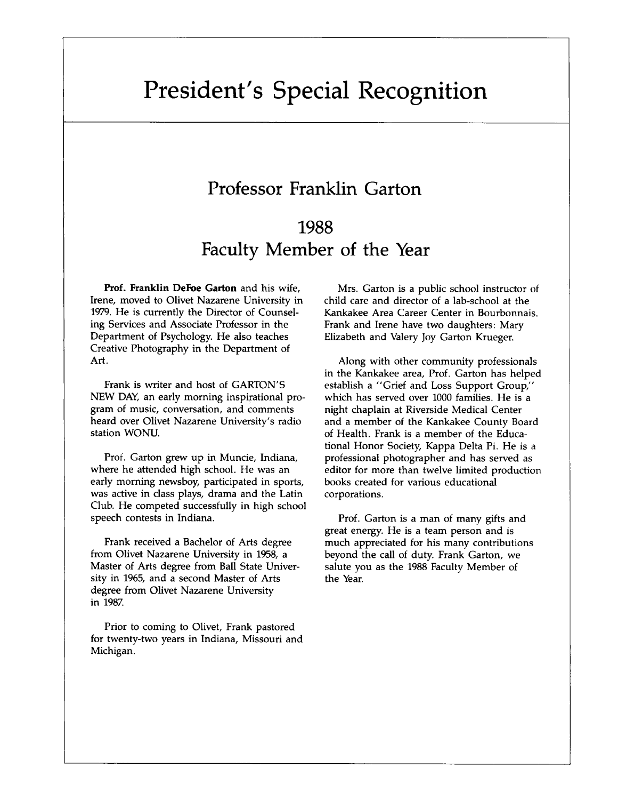# **President's Special Recognition**

### **Professor Franklin Garton**

# **1988 Faculty Member of the Year**

Prof. Franklin DeFoe Garton and his wife, Irene, moved to Olivet Nazarene University in 1979. He is currently the Director of Counseling Services and Associate Professor in the Department of Psychology. He also teaches Creative Photography in the Department of Art.

Frank is writer and host of GARTON'S NEW DAY, an early morning inspirational program of music, conversation, and comments heard over Olivet Nazarene University's radio station WONU.

Prof. Garton grew up in Muncie, Indiana, where he attended high school. He was an early morning newsboy, participated in sports, was active in class plays, drama and the Latin Club. He competed successfully in high school speech contests in Indiana.

Frank received a Bachelor of Arts degree from Olivet Nazarene University in 1958, a Master of Arts degree from Ball State University in 1965, and a second Master of Arts degree from Olivet Nazarene University in 1987.

Prior to coming to Olivet, Frank pastored for twenty-two years in Indiana, Missouri and Michigan.

Mrs. Garton is a public school instructor of child care and director of a lab-school at the Kankakee Area Career Center in Bourbonnais. Frank and Irene have two daughters: Mary Elizabeth and Valery Joy Garton Krueger.

Along with other community professionals in the Kankakee area, Prof. Garton has helped establish a "Grief and Loss Support Group," which has served over 1000 families. He is a night chaplain at Riverside Medical Center and a member of the Kankakee County Board of Health. Frank is a member of the Educational Honor Society, Kappa Delta Pi. He is a professional photographer and has served as editor for more than twelve limited production books created for various educational corporations.

Prof. Garton is a man of many gifts and great energy. He is a team person and is much appreciated for his many contributions beyond the call of duty. Frank Garton, we salute you as the 1988 Faculty Member of the Year.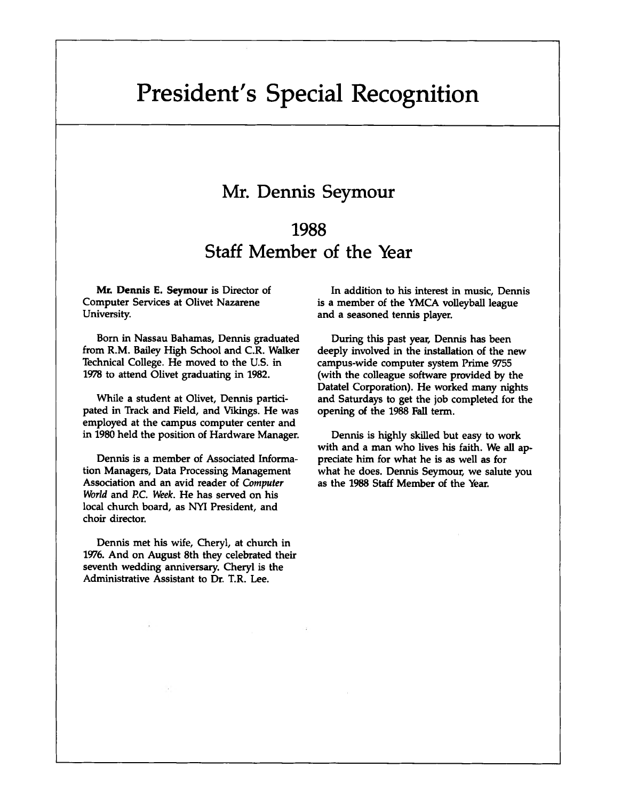# **President's Special Recognition**

### **Mr. Dennis Seymour**

## **1988 Staff Member of the Year**

Mr. Dennis E. Seymour is Director of Computer Services at Olivet Nazarene University.

Born in Nassau Bahamas, Dennis graduated from R.M. Bailey High School and C.R. Walker Technical College. He moved to the U.S. in 1978 to attend Olivet graduating in 1982.

While a student at Olivet, Dennis participated in Track and Field, and Vikings. He was employed at the campus computer center and in 1980 held the position of Hardware Manager.

Dennis is a member of Associated Information Managers, Data Processing Management Association and an avid reader of *Computer World* and P.C. *Week.* He has served on his local church board, as NYI President, and choir director.

Dennis met his wife, Cheryl, at church in 1976. And on August 8th they celebrated their seventh wedding anniversary. Cheryl is the Administrative Assistant to Dr. T.R. Lee.

In addition to his interest in music, Dennis is a member of the YMCA volleyball league and a seasoned tennis player.

During this past year, Dennis has been deeply involved in the installation of the new campus-wide computer system Prime 9755 (with the colleague software provided by the Datatel Corporation). He worked many nights and Saturdays to get the job completed for the opening of the 1988 Fall term.

Dennis is highly skilled but easy to work with and a man who lives his faith. We all appreciate him for what he is as well as for what he does. Dennis Seymour, we salute you as the 1988 Staff Member of the Year.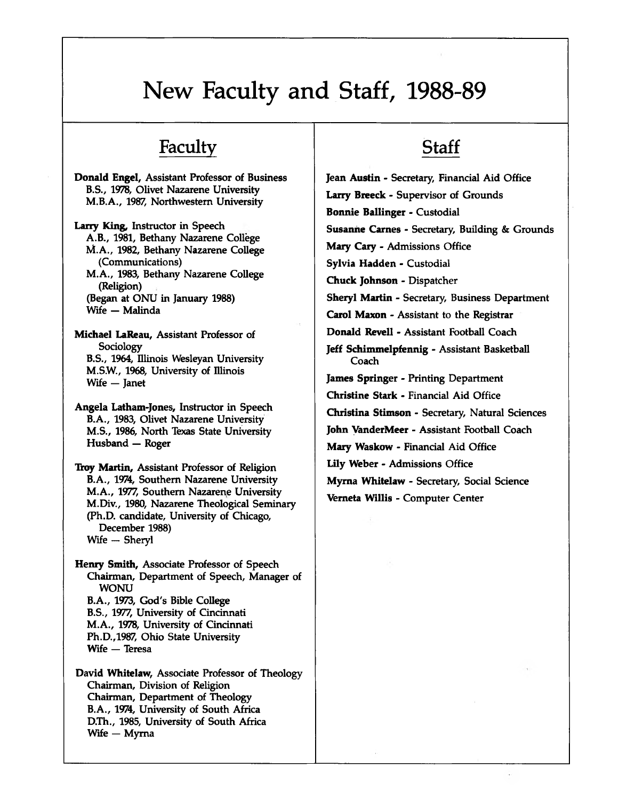# **New Faculty and Staff, 1988-89**

### **Faculty**

Donald Engel, Assistant Professor of Business B.S., 1978, Olivet Nazarene University M.B.A., 1987, Northwestern University

Larry King, Instructor in Speech A.B., 1981, Bethany Nazarene College M.A., 1982, Bethany Nazarene College (Communications) M.A., 1983, Bethany Nazarene College (Religion) (Began at ONU in January 1988) Wife — Malinda

Michael LaReau, Assistant Professor of **Sociology** B.S., 1964, Illinois Wesleyan University M.SW., 1968, University of Illinois Wife — Janet

Angela Latham-Jones, Instructor in Speech B.A., 1983, Olivet Nazarene University M.S., 1986, North Texas State University Husband — Roger

Troy Martin, Assistant Professor of Religion B.A., 1974, Southern Nazarene University M.A., 1977, Southern Nazarene University M.Div., 1980, Nazarene Theological Seminary (Ph.D. candidate, University of Chicago, December 1988) Wife — Sheryl

Henry Smith, Associate Professor of Speech Chairman, Department of Speech, Manager of WONU B.A., 1973, God's Bible College B.S., 1977, University of Cincinnati M.A., 1978, University of Cincinnati Ph.D.,1987, Ohio State University Wife — Teresa

David Whitelaw, Associate Professor of Theology Chairman, Division of Religion Chairman, Department of Theology B.A., 1974, University of South Africa D.Th., 1985, University of South Africa Wife — Myma

# **Staff**

**Jean Austin** - Secretary, Financial Aid Office **Larry Breeck** - Supervisor of Grounds **Bonnie Ballinger** - Custodial **Susanhe Carnes** - Secretary, Building & Grounds **Mary Cary** - Admissions Office **Sylvia Hadden** - Custodial **Chuck Johnson** - Dispatcher **Sheryl Martin** - Secretary, Business Department **Carol Maxon** - Assistant to the Registrar **Donald Revell** - Assistant Football Coach **Jeff Schimmelpfennig** - Assistant Basketball Coach **James Springer** - Printing Department **Christine Stark** - Financial Aid Office **Christina Stimson** - Secretary, Natural Sciences **John VanderMeer** - Assistant Football Coach **Mary Waskow** - Financial Aid Office **Lily Weber** - Admissions Office **Myma Whitelaw** - Secretary, Social Science **Vemeta Willis** - Computer Center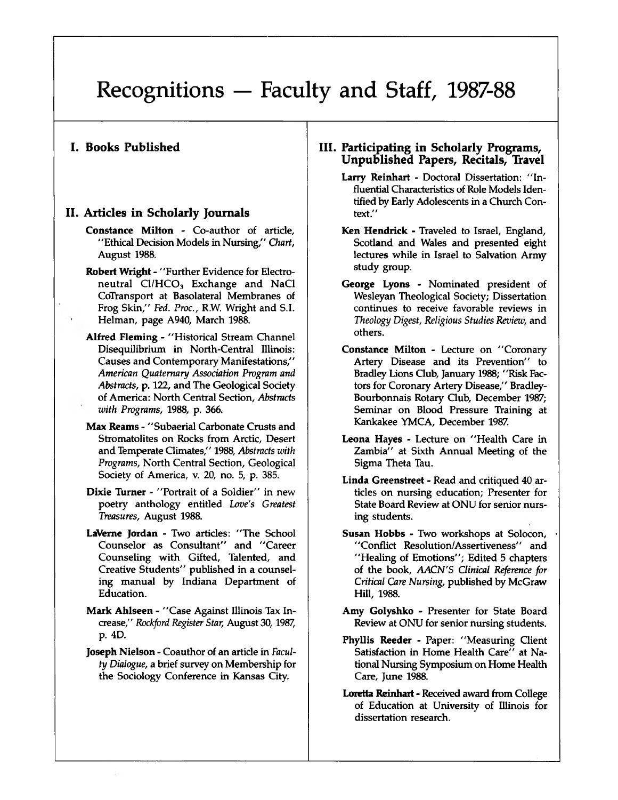#### **I. Books Published**

### **II. Articles in Scholarly Journals**

- Constance Milton Co-author of article, " Ethical Decision Models in Nursing," *Chart,* August 1988.
- Robert Wright "Further Evidence for Electroneutral  $Cl/HCO<sub>3</sub>$  Exchange and NaCl CoTransport at Basolateral Membranes of Frog Skin," *Fed. Proc.,* R.W. Wright and S.I. Helman, page A940, March 1988.
- Alfred Fleming " Historical Stream Channel Disequilibrium in North-Central Illinois: Causes and Contemporary Manifestations," *American Quaternary Association Program and Abstracts,* p. 122, and The Geological Society of America: North Central Section, *Abstracts with Programs,* 1988, p. 366.
- Max Reams " Subaerial Carbonate Crusts and Stromatolites on Rocks from Arctic, Desert and Temperate Climates," 1988, *Abstracts with Programs,* North Central Section, Geological Society of America, v. 20, no. 5, p. 385.
- Dixie Turner "Portrait of a Soldier" in new poetry anthology entitled *Love's Greatest Treasures,* August 1988.
- LaVerne Jordan Two articles: "The School Counselor as Consultant" and "Career Counseling with Gifted, Talented, and Creative Students" published in a counseling manual by Indiana Department of Education.
- Mark Ahlseen "Case Against Illinois Tax Increase," *Rockford Register Star,* August 30,1987, p. 4D.
- Joseph Nielson Coauthor of an article in *Faculty Dialogue,* a brief survey on Membership for the Sociology Conference in Kansas City.

#### **III. Participating in Scholarly Programs, Unpublished Papers, Recitals, Travel**

- Larry Reinhart Doctoral Dissertation: "Influential Characteristics of Role Models Identified by Early Adolescents in a Church Context."
- Ken Hendrick Traveled to Israel, England, Scotland and Wales and presented eight lectures while in Israel to Salvation Army study group.
- George Lyons Nominated president of Wesleyan Theological Society; Dissertation continues to receive favorable reviews in *Theology Digest, Religious Studies Review,* and others.
- Constance Milton Lecture on "Coronary Artery Disease and its Prevention" to Bradley Lions Club, January 1988; "Risk Factors for Coronary Artery Disease," Bradley-Bourbonnais Rotary Club, December 1987; Seminar on Blood Pressure Training at Kankakee YMCA, December 1987.
- Leona Hayes Lecture on "Health Care in Zambia" at Sixth Annual Meeting of the Sigma Theta Tau.
- Linda Greenstreet Read and critiqued 40 articles on nursing education; Presenter for State Board Review at ONU for senior nursing students.
- Susan Hobbs Two workshops at Solocon, " Conflict Resolution/Assertiveness" and "Healing of Emotions"; Edited 5 chapters of the book, *AACN'S Clinical Reference for Critical Care Nursing,* published by McGraw Hill, 1988.
- Amy Golyshko Presenter for State Board Review at ONU for senior nursing students.
- Phyllis Reeder Paper: "Measuring Client Satisfaction in Home Health Care" at National Nursing Symposium on Home Health Care, June 1988.
- Loretta Reinhart Received award from College of Education at University of Illinois for dissertation research.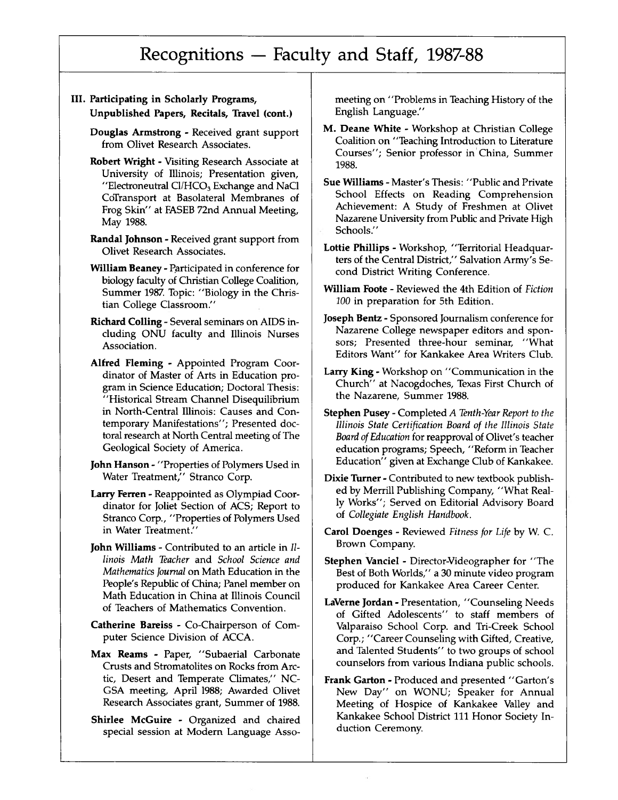- III. Participating in Scholarly Programs, Unpublished Papers, Recitals, Travel (cont.)
	- Douglas Armstrong Received grant support from Olivet Research Associates.
	- Robert Wright Visiting Research Associate at University of Illinois; Presentation given, "Electroneutral  $Cl/HCO<sub>3</sub>$  Exchange and NaCl CoTransport at Basolateral Membranes of Frog Skin" at FASEB 72nd Annual Meeting, May 1988.
	- Randal Johnson Received grant support from Olivet Research Associates.
	- William Beaney Participated in conference for biology faculty of Christian College Coalition, Summer 1987. Topic: "Biology in the Christian College Classroom."
	- Richard Colling Several seminars on AIDS including ONU faculty and Illinois Nurses Association.
	- Alfred Fleming Appointed Program Coordinator of Master of Arts in Education program in Science Education; Doctoral Thesis: "Historical Stream Channel Disequilibrium in North-Central Illinois: Causes and Contemporary Manifestations"; Presented doctoral research at North Central meeting of The Geological Society of America.
	- John Hanson "Properties of Polymers Used in Water Treatment," Stranco Corp.
	- Larry Ferren Reappointed as Olympiad Coordinator for Joliet Section of ACS; Report to Stranco Corp., "Properties of Polymers Used in Water Treatment."
	- John Williams Contributed to an article in *Illinois Math Teacher* and *School Science and Mathematics Journal* on Math Education in the People's Republic of China; Panel member on Math Education in China at Illinois Council of Teachers of Mathematics Convention.
	- Catherine Bareiss Co-Chairperson of Computer Science Division of ACCA.
	- Max Reams Paper, "Subaerial Carbonate Crusts and Stromatolites on Rocks from Arctic, Desert and Temperate Climates," NC-GSA meeting, April 1988; Awarded Olivet Research Associates grant, Summer of 1988.
	- Shirlee McGuire Organized and chaired special session at Modern Language Asso-

meeting on "Problems in Teaching History of the English Language."

- M. Deane White Workshop at Christian College Coalition on "Teaching Introduction to Literature Courses"; Senior professor in China, Summer 1988.
- Sue Williams Master's Thesis: "Public and Private School Effects on Reading Comprehension Achievement: A Study of Freshmen at Olivet Nazarene University from Public and Private High Schools."
- Lottie Phillips Workshop, "Territorial Headquarters of the Central District," Salvation Army's Second District Writing Conference.
- William Foote Reviewed the 4th Edition of *Fiction 100* in preparation for 5th Edition.
- Joseph Bentz Sponsored Journalism conference for Nazarene College newspaper editors and sponsors; Presented three-hour seminar, "What Editors Want" for Kankakee Area Writers Club.
- Larry King Workshop on "Communication in the Church" at Nacogdoches, Texas First Church of the Nazarene, Summer 1988.
- Stephen Pusey Completed *A Tenth-Year Report to the Illinois State Certification Board of the Illinois State Board of Education* for reapproval of Olivet's teacher education programs; Speech, "Reform in Teacher Education" given at Exchange Club of Kankakee.
- Dixie Turner Contributed to new textbook published by Merrill Publishing Company, "What Really Works"; Served on Editorial Advisory Board of *Collegiate English Handbook.*
- Carol Doenges Reviewed *Fitness for Life* by W. C. Brown Company.
- Stephen Vanciel Director-Videographer for "The Best of Both Worlds," a 30 minute video program produced for Kankakee Area Career Center.
- LaVerne Jordan Presentation, "Counseling Needs of Gifted Adolescents" to staff members of Valparaiso School Corp. and Tri-Creek School Corp.; "Career Counseling with Gifted, Creative, and Talented Students" to two groups of school counselors from various Indiana public schools.
- Frank Garton Produced and presented "Garton's New Day" on WONU; Speaker for Annual Meeting of Hospice of Kankakee Valley and Kankakee School District 111 Honor Society Induction Ceremony.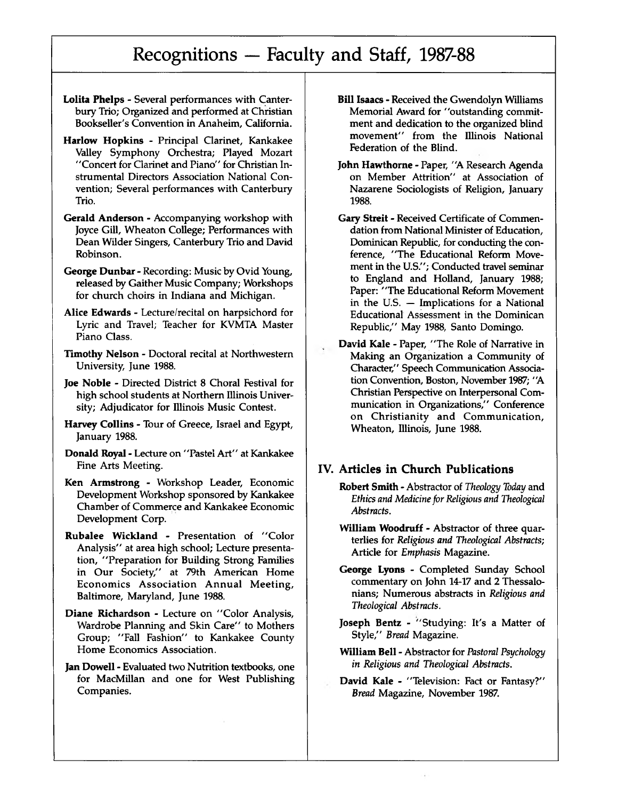- **Lolita Phelps**  Several performances with Canterbury Trio; Organized and performed at Christian Bookseller's Convention in Anaheim, California.
- **Harlow Hopkins**  Principal Clarinet, Kankakee Valley Symphony Orchestra; Played Mozart "Concert for Clarinet and Piano" for Christian Instrumental Directors Association National Convention; Several performances with Canterbury Trio.
- **Gerald Anderson**  Accompanying workshop with Joyce Gill, Wheaton College; Performances with Dean Wilder Singers, Canterbury Trio and David Robinson.
- **George Dunbar**  Recording: Music by Ovid Young, released by Gaither Music Company; Workshops for church choirs in Indiana and Michigan.
- **Alice Edwards**  Lecture/recital on harpsichord for Lyric and Travel; Teacher for KVMTA Master Piano Class.
- **Timothy Nelson**  Doctoral recital at Northwestern University, June 1988.
- **Joe Noble**  Directed District 8 Choral Festival for high school students at Northern Illinois University; Adjudicator for Illinois Music Contest.
- **Harvey Collins**  Tour of Greece, Israel and Egypt, January 1988.
- **Donald Royal**  Lecture on "Pastel Art" at Kankakee Fine Arts Meeting.
- **Ken Armstrong**  Workshop Leader, Economic Development Workshop sponsored by Kankakee Chamber of Commerce and Kankakee Economic Development Corp.
- **Rubalee Wickland**  Presentation of "Color Analysis" at area high school; Lecture presentation, "Preparation for Building Strong Families in Our Society," at 79th American Home Economics Association Annual Meeting, Baltimore, Maryland, June 1988.
- **Diane Richardson**  Lecture on "Color Analysis, Wardrobe Planning and Skin Care" to Mothers Group; "Fall Fashion" to Kankakee County Home Economics Association.
- **Jan Dowell**  Evaluated two Nutrition textbooks, one for MacMillan and one for West Publishing Companies.
- **Bill Isaacs**  Received the Gwendolyn Williams Memorial Award for "outstanding commitment and dedication to the organized blind movement" from the Illinois National Federation of the Blind.
- **John Hawthorne**  Paper, "A Research Agenda on Member Attrition" at Association of Nazarene Sociologists of Religion, January 1988.
- **Gary Streit**  Received Certificate of Commendation from National Minister of Education, Dominican Republic, for conducting the conference, "The Educational Reform Movement in the U.S."; Conducted travel seminar to England and Holland, January 1988; Paper: "The Educational Reform Movement in the U.S. — Implications for a National Educational Assessment in the Dominican Republic," May 1988, Santo Domingo.
- **David Kale**  Paper, "The Role of Narrative in Making an Organization a Community of Character," Speech Communication Association Convention, Boston, November 1987; "A Christian Perspective on Interpersonal Communication in Organizations," Conference on Christianity and Communication, Wheaton, Illinois, June 1988.

#### **IV. Articles in Church Publications**

- **Robert Smith**  Abstractor of *Theology Today* and *Ethics and Medicine for Religious and Theological Abstracts.*
- **William Woodruff**  Abstractor of three quarterlies for *Religious and Theological Abstracts;* Article for *Emphasis* Magazine.
- **George Lyons**  Completed Sunday School commentary on John 14-17 and 2 Thessalonians; Numerous abstracts in *Religious and Theological Abstracts.*
- **Joseph Bentz**  "Studying: It's a Matter of Style," *Bread* Magazine.
- **William Bell**  Abstractor for *Pastoral Psychology in Religious and Theological Abstracts.*
- **David Kale**  "Television: Fact or Fantasy?" *Bread* Magazine, November 1987.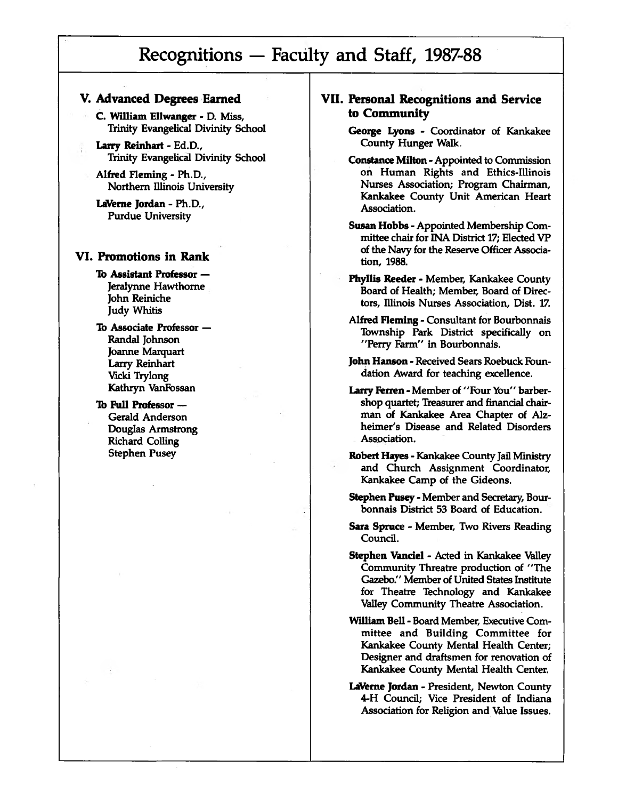### **V. Advanced Degrees Earned**

C. William Ellwanger - D. Miss, Trinity Evangelical Divinity School

Larry Reinhart - Ed.D., Trinity Evangelical Divinity School

Alfred Fleming - Ph.D., Northern Illinois University

LaVeme Jordan - Ph.D., Purdue University

#### **VI. Promotions in Rank**

To Assistant Professor — Jeralynne Hawthorne John Reiniche Judy Whitis

To Associate Professor — Randal Johnson Joanne Marquart Larry Reinhart Vicki Trylong Kathryn VanFossan

#### To Full Professor — Gerald Anderson Douglas Armstrong Richard Colling Stephen Pusey

- **VII. Personal Recognitions and Service to Community**
	- George Lyons Coordinator of Kankakee County Hunger Walk.
	- Constance Milton Appointed to Commission on Human Rights and Ethics-Illinois Nurses Association; Program Chairman, Kankakee County Unit American Heart Association.
	- Susan Hobbs Appointed Membership Committee chair for INA District 17; Elected VP of the Navy for the Reserve Officer Association, 1988.
	- Phyllis Reeder Member, Kankakee County Board of Health; Member, Board of Directors, Illinois Nurses Association, Dist. 17.
	- Alfred Fleming Consultant for Bourbonnais Township Park District specifically on "Perry Farm" in Bourbonnais.
	- John Hanson Received Sears Roebuck Foundation Award for teaching excellence.
	- Larry Ferren Member of "Four You" barbershop quartet; Treasurer and financial chairman of Kankakee Area Chapter of Alzheimer's Disease and Related Disorders Association.
	- Robert Hayes Kankakee County Jail Ministry and Church Assignment Coordinator, Kankakee Camp of the Gideons.
	- Stephen Pusey Member and Secretary, Bourbonnais District 53 Board of Education.
	- Sara Spruce Member, Two Rivers Reading Council.
	- Stephen Vanciel Acted in Kankakee Valley Community Threatre production of "The Gazebo." Member of United States Institute for Theatre Technology and Kankakee Valley Community Theatre Association.

William Bell - Board Member, Executive Committee and Building Committee for Kankakee County Mental Health Center; Designer and draftsmen for renovation of Kankakee County Mental Health Center.

LaVerne Jordan - President, Newton County 4-H Council; Vice President of Indiana Association for Religion and Value Issues.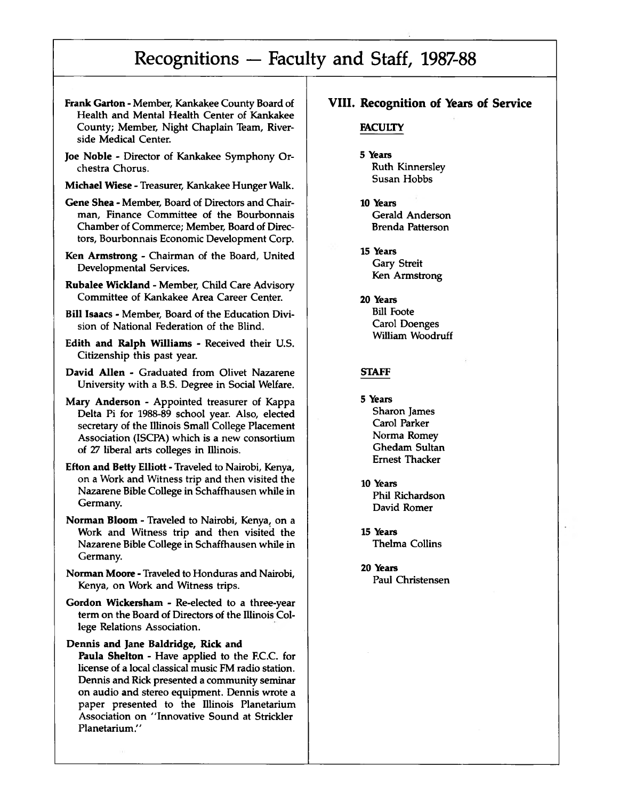- **Frank Garton**  Member, Kankakee County Board of Health and Mental Health Center of Kankakee County; Member, Night Chaplain Team, Riverside Medical Center.
- **Joe Noble**  Director of Kankakee Symphony Orchestra Chorus.
- **Michael Wiese**  Treasurer, Kankakee Hunger Walk.
- **Gene Shea**  Member, Board of Directors and Chairman, Finance Committee of the Bourbonnais Chamber of Commerce; Member, Board of Directors, Bourbonnais Economic Development Corp.
- **Ken Armstrong**  Chairman of the Board, United Developmental Services.
- **Rubalee Wickland**  Member, Child Care Advisory Committee of Kankakee Area Career Center.
- **Bill Isaacs**  Member, Board of the Education Division of National Federation of the Blind.
- **Edith and Ralph Williams**  Received their U.S. Citizenship this past year.
- **David Allen**  Graduated from Olivet Nazarene University with a B.S. Degree in Social Welfare.
- Mary **Anderson**  Appointed treasurer of Kappa Delta Pi for 1988-89 school year. Also, elected secretary of the Illinois Small College Placement Association (ISCPA) which is a new consortium of 27 liberal arts colleges in Illinois.
- **Efton and Betty Elliott**  Traveled to Nairobi, Kenya, on a Work and Witness trip and then visited the Nazarene Bible College in Schaffhausen while in Germany.
- **Norman Bloom**  Traveled to Nairobi, Kenya, on a Work and Witness trip and then visited the Nazarene Bible College in Schaffhausen while in Germany.
- **Norman Moore**  Traveled to Honduras and Nairobi, Kenya, on Work and Witness trips.
- **Gordon Wickersham**  Re-elected to a three-year term on the Board of Directors of the Illinois College Relations Association.

**Dennis and Jane Baldridge, Rick and Paula Shelton** - Have applied to the F.C.C. for license of a local classical music FM radio station. Dennis and Rick presented a community seminar on audio and stereo equipment. Dennis wrote a paper presented to the Illinois Planetarium Association on "Innovative Sound at Strickler Planetarium."

### **VIII. Recognition of Years of Service**

#### **FACULTY**

- **5 Years** Ruth Kinnersley Susan Hobbs
- **10 Years** Gerald Anderson Brenda Patterson
- **15 Years** Gary Streit Ken Armstrong
- **20 Years** Bill Foote Carol Doenges William Woodruff

#### **STAFF**

- **5 Years** Sharon James Carol Parker Norma Romey Ghedam Sultan Ernest Thacker
- **10 Years** Phil Richardson David Romer
- **15 Years** Thelma Collins
- **20 Years** Paul Christensen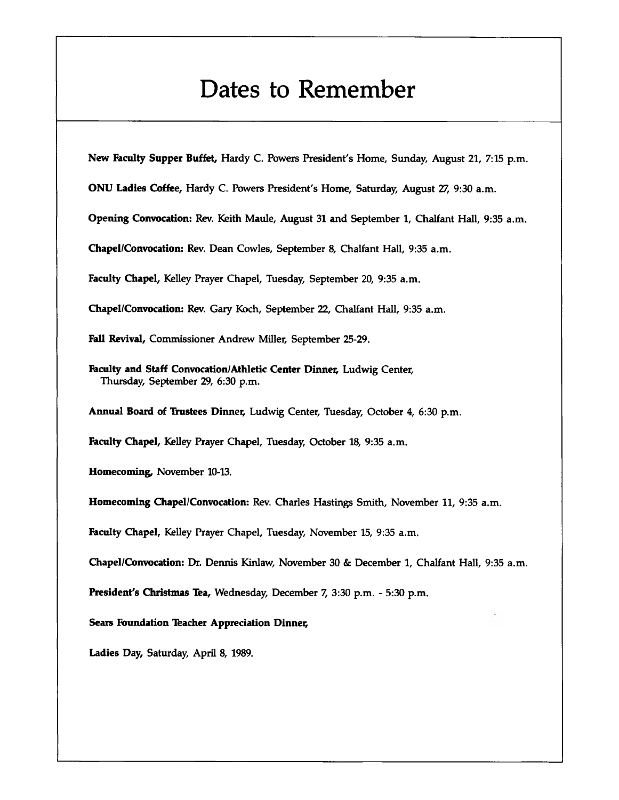# **Dates to Remember**

**New Faculty Supper Buffet,** Hardy C. Powers President's Home, Sunday, August 21, 7:15 p.m.

**ONU Ladies Coffee,** Hardy C. Powers President's Home, Saturday, August 27, 9:30 a.m.

**Opening Convocation:** Rev. Keith Maule, August **31** and September **1,** Chalfant Hall, **9:35** a.m.

**Chapel/Convocation:** Rev. Dean Cowles, September 8, Chalfant Hall, 9:35 a.m.

**Faculty Chapel,** Kelley Prayer Chapel, Tuesday, September 20, 9:35 a.m.

**Chapel/Convocation:** Rev. Gary Koch, September 22, Chalfant Hall, 9:35 a.m.

**Fall Revival,** Commissioner Andrew Miller, September 25-29.

Faculty and Staff Convocation/Athletic Center Dinner, Ludwig Center, Thursday, September 29, 6:30 p.m.

**Annual Board of Thistees Dinner,** Ludwig Center, Tuesday, October 4, 6:30 p.m.

**Faculty Chapel,** Kelley Prayer Chapel, Tuesday, October 18, 9:35 a.m.

**Homecoming,** November 10-13.

**Homecoming Chapel/Convocation:** Rev. Charles Hastings Smith, November 11, 9:35 a.m.

**Faculty Chapel,** Kelley Prayer Chapel, Tuesday, November 15, 9:35 a.m.

**Chapel/Convocation:** Dr. Dennis Kinlaw, November 30 & December 1, Chalfant Hall, 9:35 a.m.

**President's Christmas Tea,** Wednesday, December 7, 3:30 p.m. - 5:30 p.m.

**Sears Foundation Teacher Appreciation Dinner**

**Ladies Day,** Saturday, April **8, 1989.**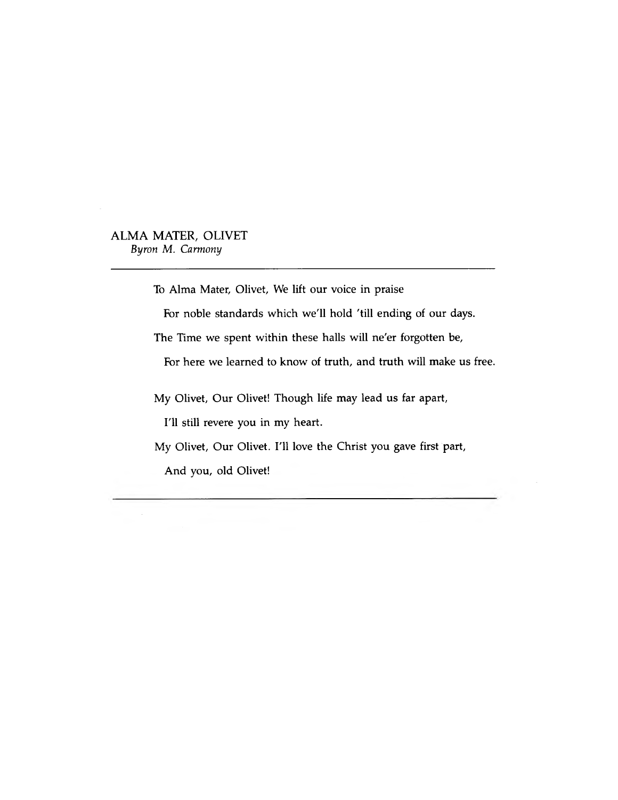### **ALMA MATER, OLIVET** *Byron M. Carmony*

To Alma Mater, Olivet, We lift our voice in praise

For noble standards which we'll hold 'till ending of our days.

The Time we spent within these halls will ne'er forgotten be,

For here we learned to know of truth, and truth will make us free.

My Olivet, Our Olivet! Though life may lead us far apart,

I'll still revere you in my heart.

My Olivet, Our Olivet. I'll love the Christ you gave first part,

And you, old Olivet!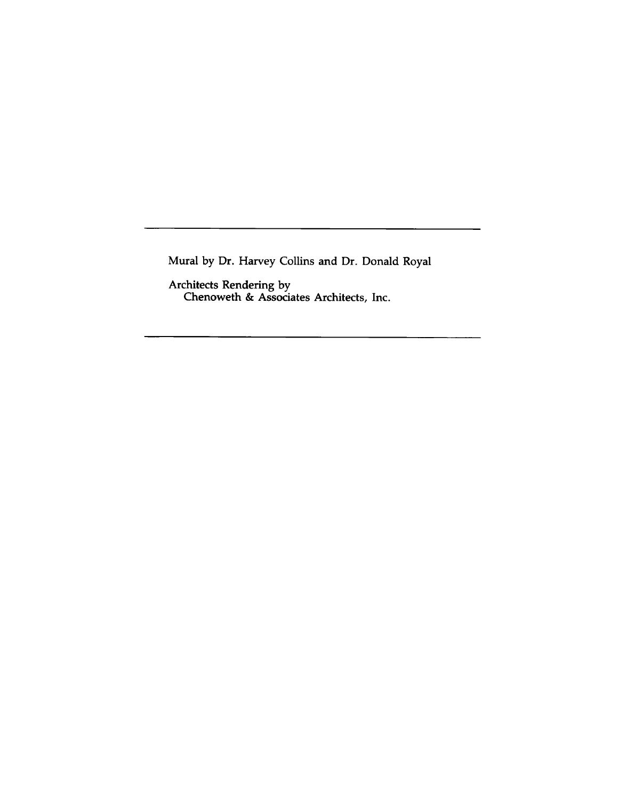Mural by Dr. Harvey Collins and Dr. Donald Royal

Architects Rendering by C henow eth & A ssociates A rchitects, Inc.